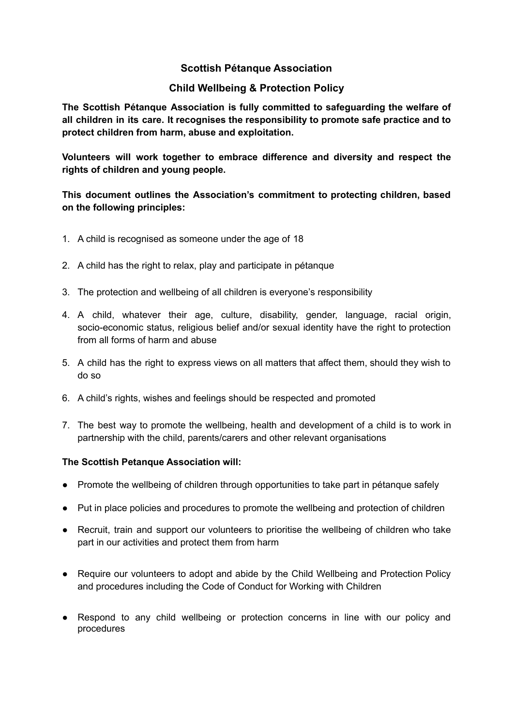# **Scottish Pétanque Association**

# **Child Wellbeing & Protection Policy**

**The Scottish Pétanque Association is fully committed to safeguarding the welfare of all children in its care. It recognises the responsibility to promote safe practice and to protect children from harm, abuse and exploitation.**

**Volunteers will work together to embrace difference and diversity and respect the rights of children and young people.**

# **This document outlines the Association's commitment to protecting children, based on the following principles:**

- 1. A child is recognised as someone under the age of 18
- 2. A child has the right to relax, play and participate in pétanque
- 3. The protection and wellbeing of all children is everyone's responsibility
- 4. A child, whatever their age, culture, disability, gender, language, racial origin, socio-economic status, religious belief and/or sexual identity have the right to protection from all forms of harm and abuse
- 5. A child has the right to express views on all matters that affect them, should they wish to do so
- 6. A child's rights, wishes and feelings should be respected and promoted
- 7. The best way to promote the wellbeing, health and development of a child is to work in partnership with the child, parents/carers and other relevant organisations

#### **The Scottish Petanque Association will:**

- Promote the wellbeing of children through opportunities to take part in pétanque safely
- Put in place policies and procedures to promote the wellbeing and protection of children
- Recruit, train and support our volunteers to prioritise the wellbeing of children who take part in our activities and protect them from harm
- Require our volunteers to adopt and abide by the Child Wellbeing and Protection Policy and procedures including the Code of Conduct for Working with Children
- Respond to any child wellbeing or protection concerns in line with our policy and procedures